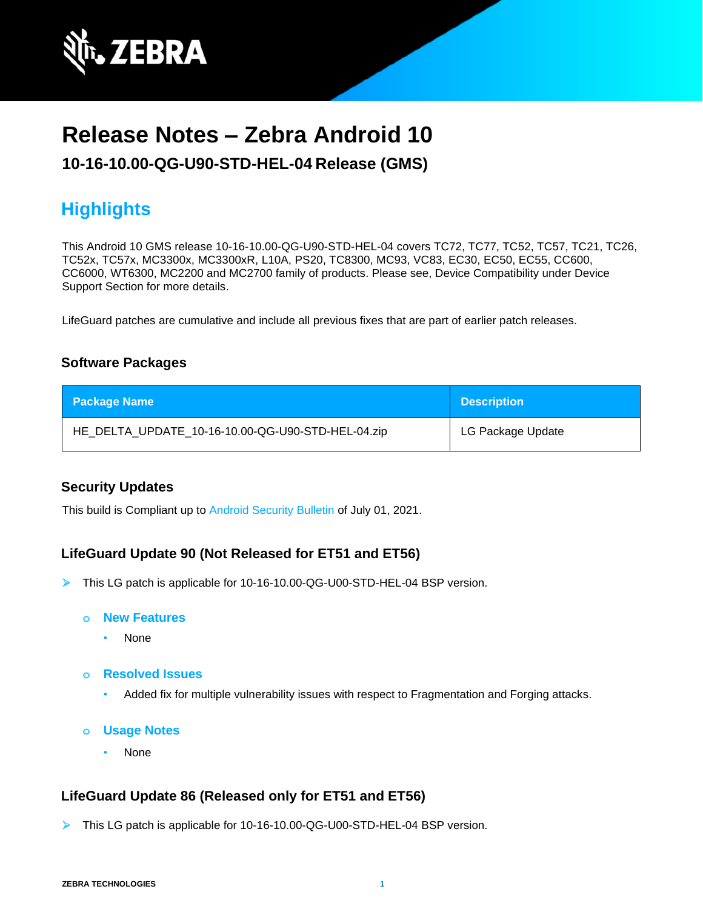

# **Release Notes – Zebra Android 10**

**10-16-10.00-QG-U90-STD-HEL-04 Release (GMS)**

# **Highlights**

This Android 10 GMS release 10-16-10.00-QG-U90-STD-HEL-04 covers TC72, TC77, TC52, TC57, TC21, TC26, TC52x, TC57x, MC3300x, MC3300xR, L10A, PS20, TC8300, MC93, VC83, EC30, EC50, EC55, CC600, CC6000, WT6300, MC2200 and MC2700 family of products. Please see, Device Compatibility under Device Support Section for more details.

LifeGuard patches are cumulative and include all previous fixes that are part of earlier patch releases.

# **Software Packages**

| <b>Package Name</b>                               | <b>Description</b> |
|---------------------------------------------------|--------------------|
| HE_DELTA_UPDATE_10-16-10.00-QG-U90-STD-HEL-04.zip | LG Package Update  |

# **Security Updates**

This build is Compliant up to [Android Security Bulletin](https://source.android.com/security/bulletin/) of July 01, 2021.

# **LifeGuard Update 90 (Not Released for ET51 and ET56)**

- ➢ This LG patch is applicable for 10-16-10.00-QG-U00-STD-HEL-04 BSP version.
	- **o New Features**
		- None
	- **o Resolved Issues**
		- Added fix for multiple vulnerability issues with respect to Fragmentation and Forging attacks.
	- **o Usage Notes**
		- None

# **LifeGuard Update 86 (Released only for ET51 and ET56)**

➢ This LG patch is applicable for 10-16-10.00-QG-U00-STD-HEL-04 BSP version.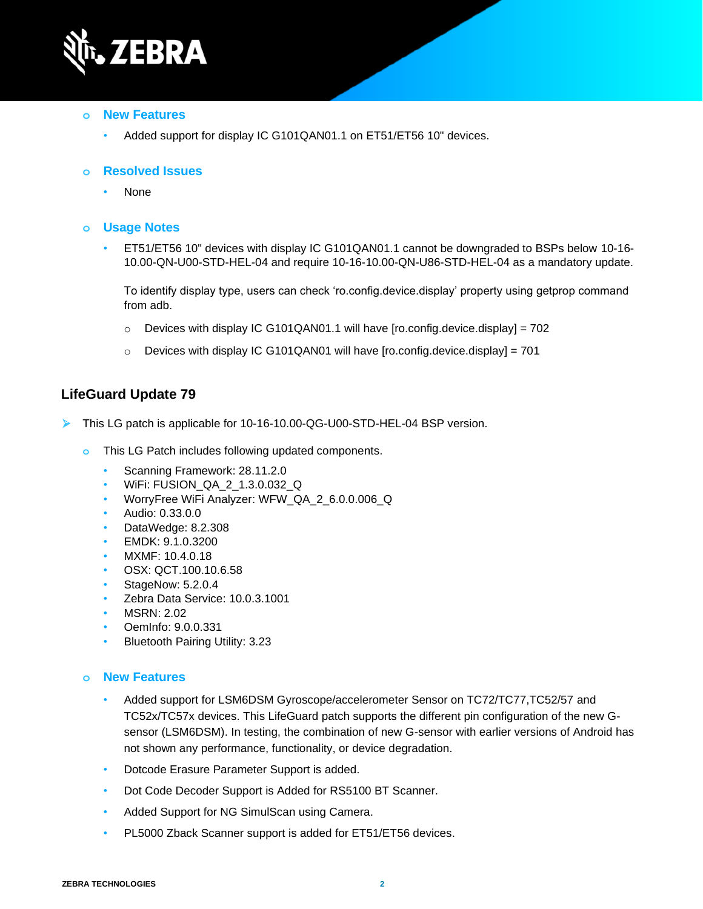

#### **o New Features**

• Added support for display IC G101QAN01.1 on ET51/ET56 10" devices.

#### **o Resolved Issues**

• None

#### **o Usage Notes**

• ET51/ET56 10" devices with display IC G101QAN01.1 cannot be downgraded to BSPs below 10-16- 10.00-QN-U00-STD-HEL-04 and require 10-16-10.00-QN-U86-STD-HEL-04 as a mandatory update.

To identify display type, users can check 'ro.config.device.display' property using getprop command from adb.

- $\circ$  Devices with display IC G101QAN01.1 will have [ro.config.device.display] = 702
- $\circ$  Devices with display IC G101QAN01 will have [ro.config.device.display] = 701

# **LifeGuard Update 79**

- ➢ This LG patch is applicable for 10-16-10.00-QG-U00-STD-HEL-04 BSP version.
	- **o** This LG Patch includes following updated components.
		- Scanning Framework: 28.11.2.0
		- WiFi: FUSION\_QA\_2\_1.3.0.032\_Q
		- WorryFree WiFi Analyzer: WFW\_QA\_2\_6.0.0.006\_Q
		- Audio: 0.33.0.0
		- DataWedge: 8.2.308
		- EMDK: 9.1.0.3200
		- MXMF: 10.4.0.18
		- OSX: QCT.100.10.6.58
		- StageNow: 5.2.0.4
		- Zebra Data Service: 10.0.3.1001
		- MSRN: 2.02
		- OemInfo: 9.0.0.331
		- Bluetooth Pairing Utility: 3.23

#### **o New Features**

- Added support for LSM6DSM Gyroscope/accelerometer Sensor on TC72/TC77,TC52/57 and TC52x/TC57x devices. This LifeGuard patch supports the different pin configuration of the new Gsensor (LSM6DSM). In testing, the combination of new G-sensor with earlier versions of Android has not shown any performance, functionality, or device degradation.
- Dotcode Erasure Parameter Support is added.
- Dot Code Decoder Support is Added for RS5100 BT Scanner.
- Added Support for NG SimulScan using Camera.
- PL5000 Zback Scanner support is added for ET51/ET56 devices.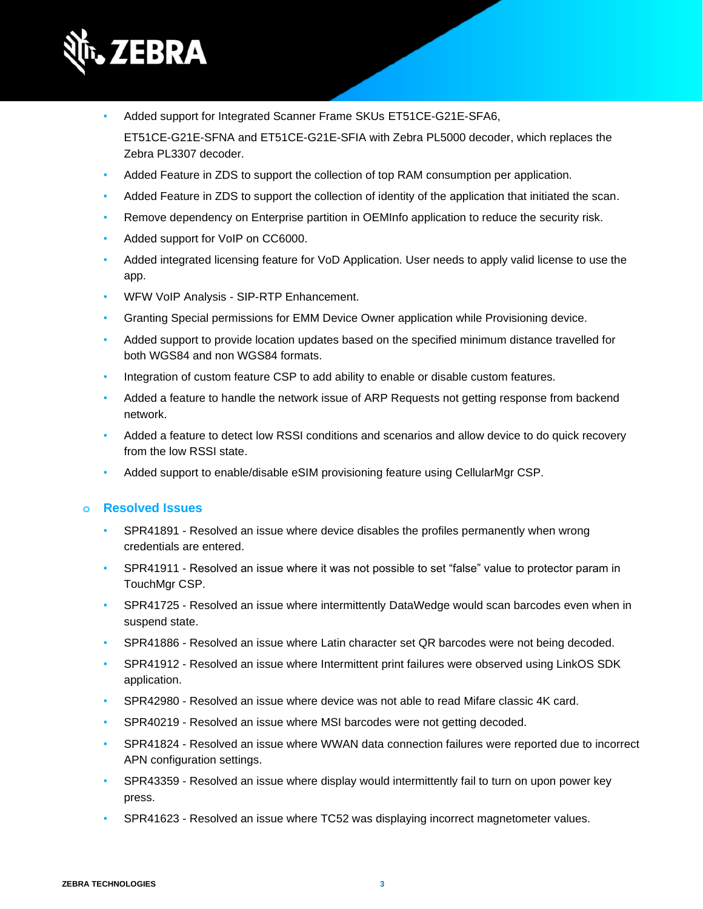

• Added support for Integrated Scanner Frame SKUs ET51CE-G21E-SFA6,

ET51CE-G21E-SFNA and ET51CE-G21E-SFIA with Zebra PL5000 decoder, which replaces the Zebra PL3307 decoder.

- Added Feature in ZDS to support the collection of top RAM consumption per application.
- Added Feature in ZDS to support the collection of identity of the application that initiated the scan.
- Remove dependency on Enterprise partition in OEMInfo application to reduce the security risk.
- Added support for VoIP on CC6000.
- Added integrated licensing feature for VoD Application. User needs to apply valid license to use the app.
- WFW VoIP Analysis SIP-RTP Enhancement.
- Granting Special permissions for EMM Device Owner application while Provisioning device.
- Added support to provide location updates based on the specified minimum distance travelled for both WGS84 and non WGS84 formats.
- Integration of custom feature CSP to add ability to enable or disable custom features.
- Added a feature to handle the network issue of ARP Requests not getting response from backend network.
- Added a feature to detect low RSSI conditions and scenarios and allow device to do quick recovery from the low RSSI state.
- Added support to enable/disable eSIM provisioning feature using CellularMgr CSP.

# **o Resolved Issues**

- SPR41891 Resolved an issue where device disables the profiles permanently when wrong credentials are entered.
- SPR41911 Resolved an issue where it was not possible to set "false" value to protector param in TouchMgr CSP.
- SPR41725 Resolved an issue where intermittently DataWedge would scan barcodes even when in suspend state.
- SPR41886 Resolved an issue where Latin character set QR barcodes were not being decoded.
- SPR41912 Resolved an issue where Intermittent print failures were observed using LinkOS SDK application.
- SPR42980 Resolved an issue where device was not able to read Mifare classic 4K card.
- SPR40219 Resolved an issue where MSI barcodes were not getting decoded.
- SPR41824 Resolved an issue where WWAN data connection failures were reported due to incorrect APN configuration settings.
- SPR43359 Resolved an issue where display would intermittently fail to turn on upon power key press.
- SPR41623 Resolved an issue where TC52 was displaying incorrect magnetometer values.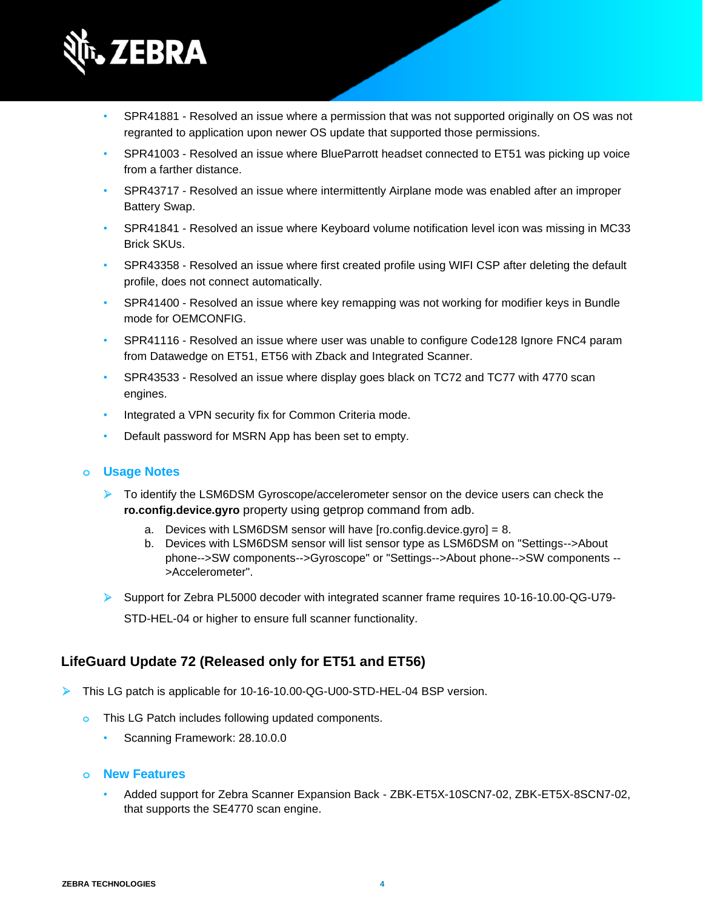

- SPR41881 Resolved an issue where a permission that was not supported originally on OS was not regranted to application upon newer OS update that supported those permissions.
- SPR41003 Resolved an issue where BlueParrott headset connected to ET51 was picking up voice from a farther distance.
- SPR43717 Resolved an issue where intermittently Airplane mode was enabled after an improper Battery Swap.
- SPR41841 Resolved an issue where Keyboard volume notification level icon was missing in MC33 Brick SKUs.
- SPR43358 Resolved an issue where first created profile using WIFI CSP after deleting the default profile, does not connect automatically.
- SPR41400 Resolved an issue where key remapping was not working for modifier keys in Bundle mode for OEMCONFIG.
- SPR41116 Resolved an issue where user was unable to configure Code128 Ignore FNC4 param from Datawedge on ET51, ET56 with Zback and Integrated Scanner.
- SPR43533 Resolved an issue where display goes black on TC72 and TC77 with 4770 scan engines.
- Integrated a VPN security fix for Common Criteria mode.
- Default password for MSRN App has been set to empty.

#### **o Usage Notes**

- ➢ To identify the LSM6DSM Gyroscope/accelerometer sensor on the device users can check the **ro.config.device.gyro** property using getprop command from adb.
	- a. Devices with LSM6DSM sensor will have [ro.config.device.gyro] = 8.
	- b. Devices with LSM6DSM sensor will list sensor type as LSM6DSM on "Settings-->About phone-->SW components-->Gyroscope" or "Settings-->About phone-->SW components -- >Accelerometer".
- ➢ Support for Zebra PL5000 decoder with integrated scanner frame requires 10-16-10.00-QG-U79- STD-HEL-04 or higher to ensure full scanner functionality.

# **LifeGuard Update 72 (Released only for ET51 and ET56)**

- ➢ This LG patch is applicable for 10-16-10.00-QG-U00-STD-HEL-04 BSP version.
	- **o** This LG Patch includes following updated components.
		- Scanning Framework: 28.10.0.0
	- **o New Features**
		- Added support for Zebra Scanner Expansion Back ZBK-ET5X-10SCN7-02, ZBK-ET5X-8SCN7-02, that supports the SE4770 scan engine.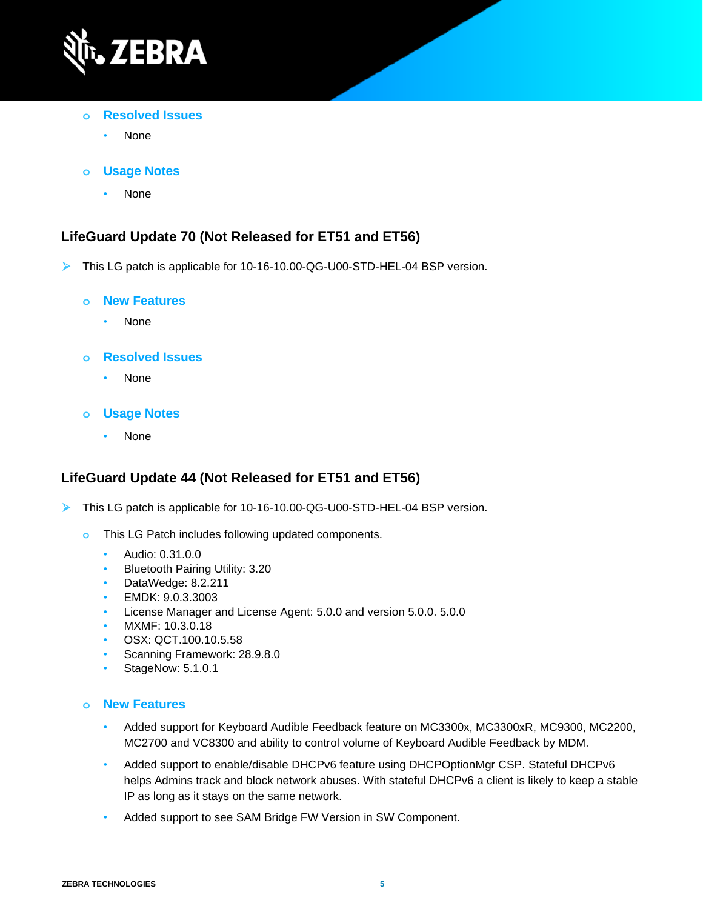

- **o Resolved Issues**
	- None
- **o Usage Notes**
	- None

# **LifeGuard Update 70 (Not Released for ET51 and ET56)**

➢ This LG patch is applicable for 10-16-10.00-QG-U00-STD-HEL-04 BSP version.

#### **o New Features**

• None

#### **o Resolved Issues**

• None

#### **o Usage Notes**

• None

# **LifeGuard Update 44 (Not Released for ET51 and ET56)**

- ➢ This LG patch is applicable for 10-16-10.00-QG-U00-STD-HEL-04 BSP version.
	- **o** This LG Patch includes following updated components.
		- Audio: 0.31.0.0
		- Bluetooth Pairing Utility: 3.20
		- DataWedge: 8.2.211
		- EMDK: 9.0.3.3003
		- License Manager and License Agent: 5.0.0 and version 5.0.0. 5.0.0
		- MXMF: 10.3.0.18
		- OSX: QCT.100.10.5.58
		- Scanning Framework: 28.9.8.0
		- StageNow: 5.1.0.1

#### **o New Features**

- Added support for Keyboard Audible Feedback feature on MC3300x, MC3300xR, MC9300, MC2200, MC2700 and VC8300 and ability to control volume of Keyboard Audible Feedback by MDM.
- Added support to enable/disable DHCPv6 feature using DHCPOptionMgr CSP. Stateful DHCPv6 helps Admins track and block network abuses. With stateful DHCPv6 a client is likely to keep a stable IP as long as it stays on the same network.
- Added support to see SAM Bridge FW Version in SW Component.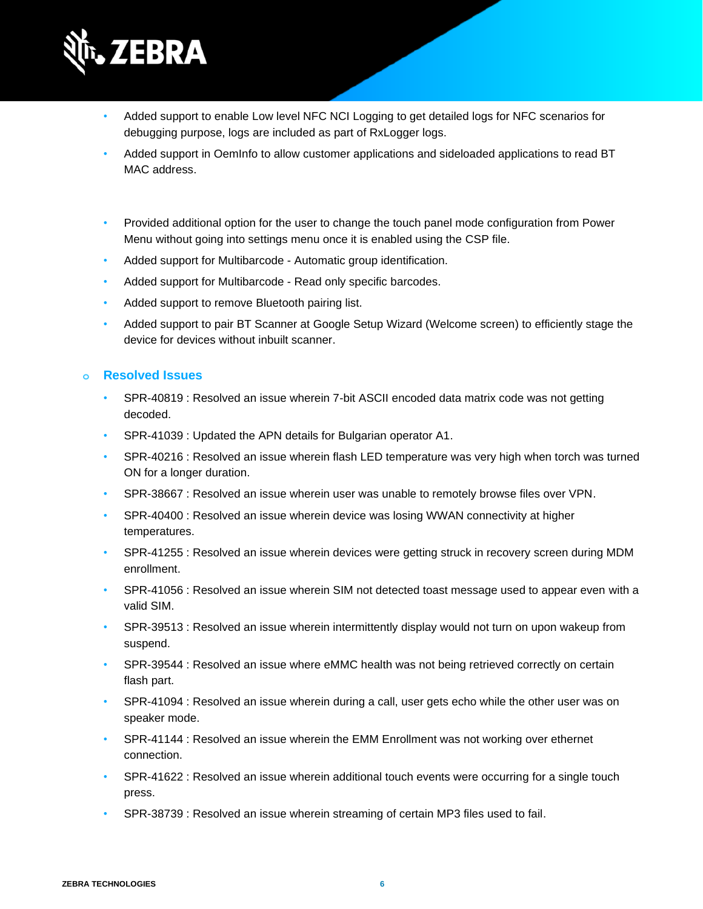

- Added support to enable Low level NFC NCI Logging to get detailed logs for NFC scenarios for debugging purpose, logs are included as part of RxLogger logs.
- Added support in OemInfo to allow customer applications and sideloaded applications to read BT MAC address.

- Provided additional option for the user to change the touch panel mode configuration from Power Menu without going into settings menu once it is enabled using the CSP file.
- Added support for Multibarcode Automatic group identification.
- Added support for Multibarcode Read only specific barcodes.
- Added support to remove Bluetooth pairing list.
- Added support to pair BT Scanner at Google Setup Wizard (Welcome screen) to efficiently stage the device for devices without inbuilt scanner.

# **o Resolved Issues**

- SPR-40819 : Resolved an issue wherein 7-bit ASCII encoded data matrix code was not getting decoded.
- SPR-41039 : Updated the APN details for Bulgarian operator A1.
- SPR-40216 : Resolved an issue wherein flash LED temperature was very high when torch was turned ON for a longer duration.
- SPR-38667 : Resolved an issue wherein user was unable to remotely browse files over VPN.
- SPR-40400 : Resolved an issue wherein device was losing WWAN connectivity at higher temperatures.
- SPR-41255 : Resolved an issue wherein devices were getting struck in recovery screen during MDM enrollment.
- SPR-41056 : Resolved an issue wherein SIM not detected toast message used to appear even with a valid SIM.
- SPR-39513 : Resolved an issue wherein intermittently display would not turn on upon wakeup from suspend.
- SPR-39544 : Resolved an issue where eMMC health was not being retrieved correctly on certain flash part.
- SPR-41094 : Resolved an issue wherein during a call, user gets echo while the other user was on speaker mode.
- SPR-41144 : Resolved an issue wherein the EMM Enrollment was not working over ethernet connection.
- SPR-41622 : Resolved an issue wherein additional touch events were occurring for a single touch press.
- SPR-38739 : Resolved an issue wherein streaming of certain MP3 files used to fail.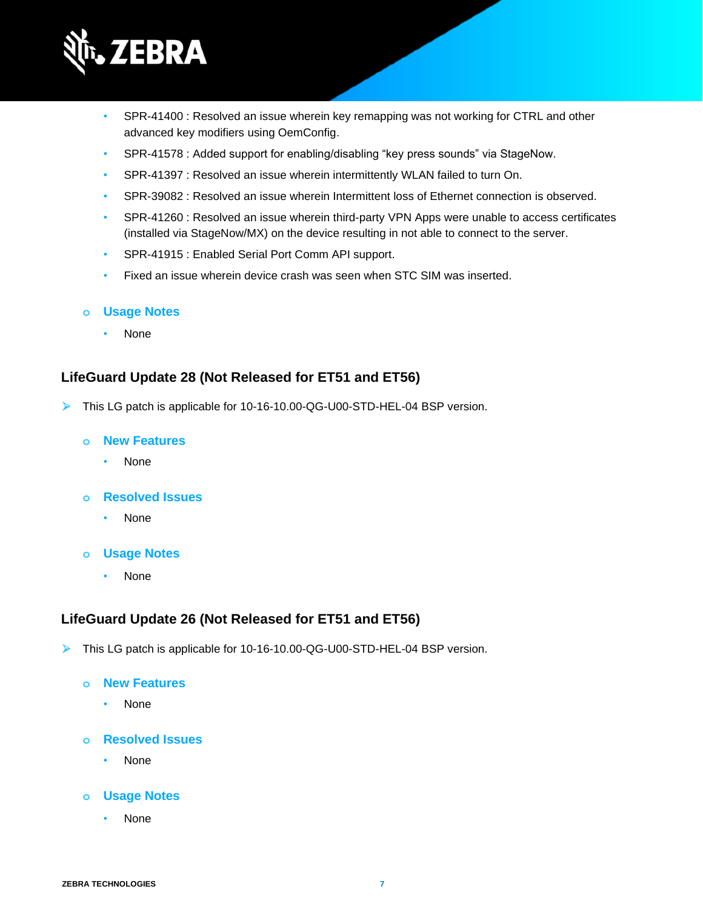

- SPR-41400 : Resolved an issue wherein key remapping was not working for CTRL and other advanced key modifiers using OemConfig.
- SPR-41578 : Added support for enabling/disabling "key press sounds" via StageNow.
- SPR-41397 : Resolved an issue wherein intermittently WLAN failed to turn On.
- SPR-39082 : Resolved an issue wherein Intermittent loss of Ethernet connection is observed.
- SPR-41260 : Resolved an issue wherein third-party VPN Apps were unable to access certificates (installed via StageNow/MX) on the device resulting in not able to connect to the server.
- SPR-41915 : Enabled Serial Port Comm API support.
- Fixed an issue wherein device crash was seen when STC SIM was inserted.

#### **o Usage Notes**

• None

### **LifeGuard Update 28 (Not Released for ET51 and ET56)**

➢ This LG patch is applicable for 10-16-10.00-QG-U00-STD-HEL-04 BSP version.

#### **o New Features**

• None

#### **o Resolved Issues**

- None
- **o Usage Notes**
	- None

# **LifeGuard Update 26 (Not Released for ET51 and ET56)**

- ➢ This LG patch is applicable for 10-16-10.00-QG-U00-STD-HEL-04 BSP version.
	- **o New Features**
		- None
	- **o Resolved Issues**
		- None

### **o Usage Notes**

• None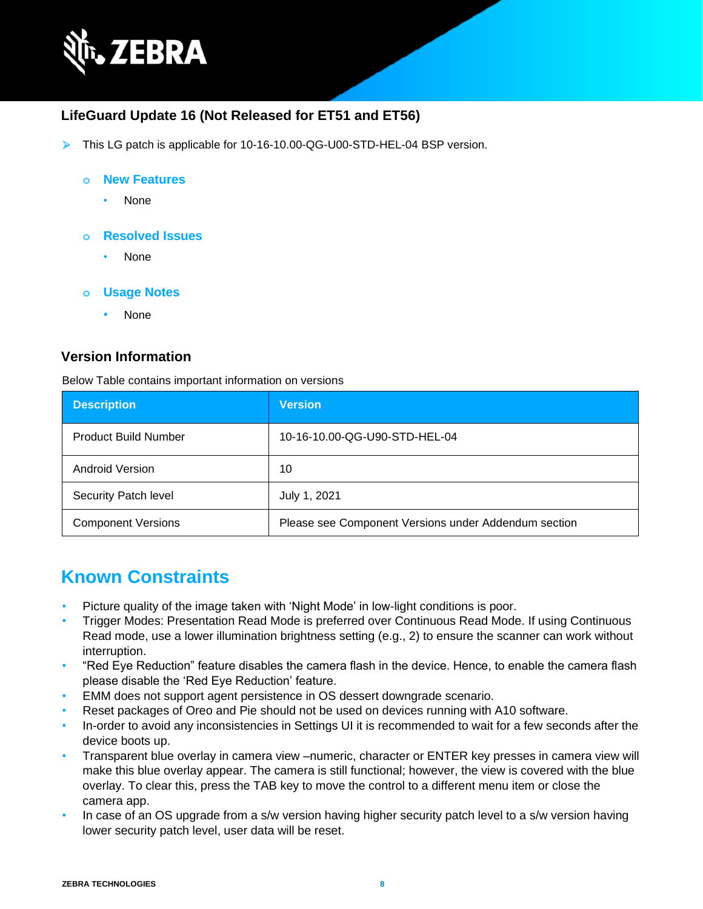

# **LifeGuard Update 16 (Not Released for ET51 and ET56)**

➢ This LG patch is applicable for 10-16-10.00-QG-U00-STD-HEL-04 BSP version.

#### **o New Features**

- None
- **o Resolved Issues**
	- None
- **o Usage Notes**
	- None

#### **Version Information**

Below Table contains important information on versions

| <b>Description</b>          | <b>Version</b>                                       |
|-----------------------------|------------------------------------------------------|
| <b>Product Build Number</b> | 10-16-10.00-QG-U90-STD-HEL-04                        |
| Android Version             | 10                                                   |
| Security Patch level        | July 1, 2021                                         |
| <b>Component Versions</b>   | Please see Component Versions under Addendum section |

# **Known Constraints**

- Picture quality of the image taken with 'Night Mode' in low-light conditions is poor.
- Trigger Modes: Presentation Read Mode is preferred over Continuous Read Mode. If using Continuous Read mode, use a lower illumination brightness setting (e.g., 2) to ensure the scanner can work without interruption.
- "Red Eye Reduction" feature disables the camera flash in the device. Hence, to enable the camera flash please disable the 'Red Eye Reduction' feature.
- EMM does not support agent persistence in OS dessert downgrade scenario.
- Reset packages of Oreo and Pie should not be used on devices running with A10 software.
- In-order to avoid any inconsistencies in Settings UI it is recommended to wait for a few seconds after the device boots up.
- Transparent blue overlay in camera view –numeric, character or ENTER key presses in camera view will make this blue overlay appear. The camera is still functional; however, the view is covered with the blue overlay. To clear this, press the TAB key to move the control to a different menu item or close the camera app.
- In case of an OS upgrade from a s/w version having higher security patch level to a s/w version having lower security patch level, user data will be reset.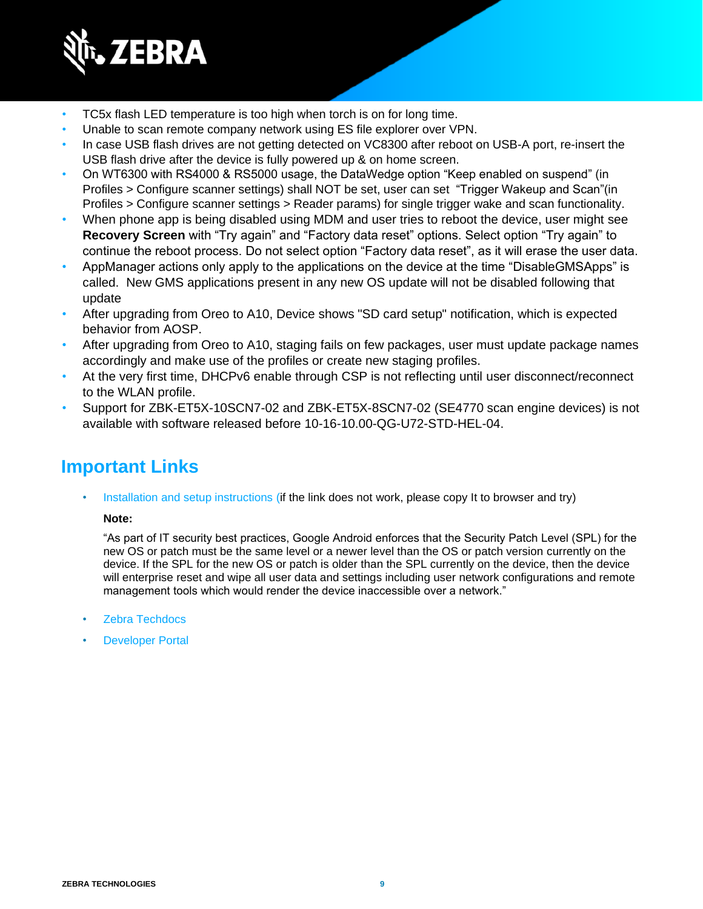

- TC5x flash LED temperature is too high when torch is on for long time.
- Unable to scan remote company network using ES file explorer over VPN.
- In case USB flash drives are not getting detected on VC8300 after reboot on USB-A port, re-insert the USB flash drive after the device is fully powered up & on home screen.
- On WT6300 with RS4000 & RS5000 usage, the DataWedge option "Keep enabled on suspend" (in Profiles > Configure scanner settings) shall NOT be set, user can set "Trigger Wakeup and Scan"(in Profiles > Configure scanner settings > Reader params) for single trigger wake and scan functionality.
- When phone app is being disabled using MDM and user tries to reboot the device, user might see **Recovery Screen** with "Try again" and "Factory data reset" options. Select option "Try again" to continue the reboot process. Do not select option "Factory data reset", as it will erase the user data.
- AppManager actions only apply to the applications on the device at the time "DisableGMSApps" is called. New GMS applications present in any new OS update will not be disabled following that update
- After upgrading from Oreo to A10, Device shows "SD card setup" notification, which is expected behavior from AOSP.
- After upgrading from Oreo to A10, staging fails on few packages, user must update package names accordingly and make use of the profiles or create new staging profiles.
- At the very first time, DHCPv6 enable through CSP is not reflecting until user disconnect/reconnect to the WLAN profile.
- Support for ZBK-ET5X-10SCN7-02 and ZBK-ET5X-8SCN7-02 (SE4770 scan engine devices) is not available with software released before 10-16-10.00-QG-U72-STD-HEL-04.

# **Important Links**

[Installation and setup instructions](https://www.zebra.com/content/dam/zebra_new_ia/en-us/software/operating-system/helios/a10-os-update-instructions.pdf) (if the link does not work, please copy It to browser and try)

#### **Note:**

"As part of IT security best practices, Google Android enforces that the Security Patch Level (SPL) for the new OS or patch must be the same level or a newer level than the OS or patch version currently on the device. If the SPL for the new OS or patch is older than the SPL currently on the device, then the device will enterprise reset and wipe all user data and settings including user network configurations and remote management tools which would render the device inaccessible over a network."

- [Zebra Techdocs](http://techdocs.zebra.com/)
- **[Developer Portal](http://developer.zebra.com/)**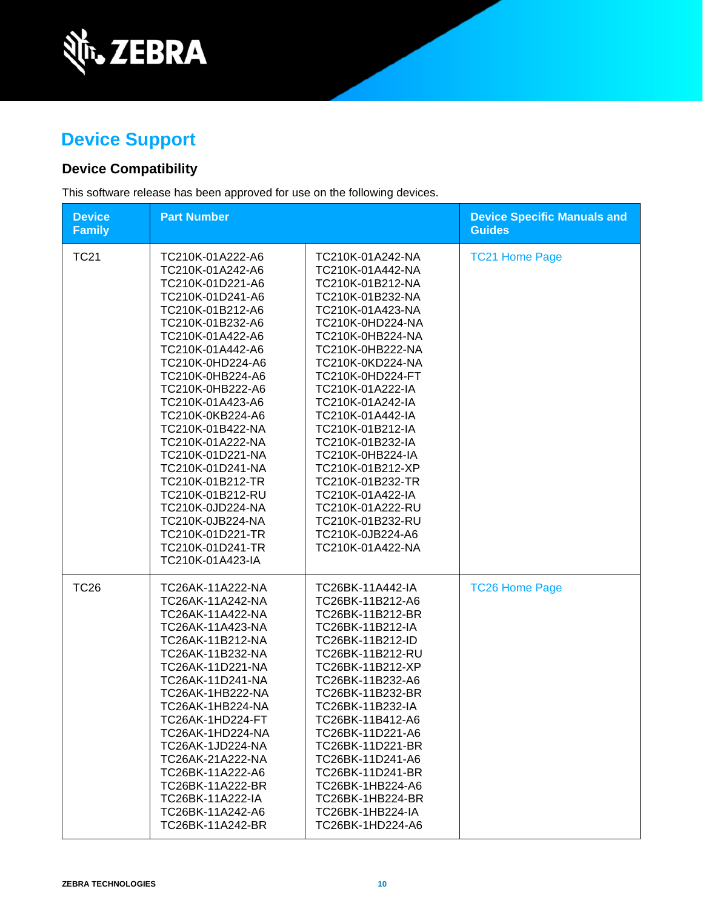

# **Device Support**

# **Device Compatibility**

This software release has been approved for use on the following devices.

| <b>Device</b><br><b>Family</b> | <b>Part Number</b>                                                                                                                                                                                                                                                                                                                                                                                                                                                                           |                                                                                                                                                                                                                                                                                                                                                                                                                                                                          | <b>Device Specific Manuals and</b><br><b>Guides</b> |
|--------------------------------|----------------------------------------------------------------------------------------------------------------------------------------------------------------------------------------------------------------------------------------------------------------------------------------------------------------------------------------------------------------------------------------------------------------------------------------------------------------------------------------------|--------------------------------------------------------------------------------------------------------------------------------------------------------------------------------------------------------------------------------------------------------------------------------------------------------------------------------------------------------------------------------------------------------------------------------------------------------------------------|-----------------------------------------------------|
| <b>TC21</b>                    | TC210K-01A222-A6<br>TC210K-01A242-A6<br>TC210K-01D221-A6<br>TC210K-01D241-A6<br>TC210K-01B212-A6<br>TC210K-01B232-A6<br>TC210K-01A422-A6<br>TC210K-01A442-A6<br>TC210K-0HD224-A6<br>TC210K-0HB224-A6<br>TC210K-0HB222-A6<br>TC210K-01A423-A6<br>TC210K-0KB224-A6<br>TC210K-01B422-NA<br>TC210K-01A222-NA<br>TC210K-01D221-NA<br>TC210K-01D241-NA<br>TC210K-01B212-TR<br>TC210K-01B212-RU<br>TC210K-0JD224-NA<br>TC210K-0JB224-NA<br>TC210K-01D221-TR<br>TC210K-01D241-TR<br>TC210K-01A423-IA | TC210K-01A242-NA<br>TC210K-01A442-NA<br>TC210K-01B212-NA<br>TC210K-01B232-NA<br>TC210K-01A423-NA<br>TC210K-0HD224-NA<br>TC210K-0HB224-NA<br>TC210K-0HB222-NA<br>TC210K-0KD224-NA<br>TC210K-0HD224-FT<br>TC210K-01A222-IA<br>TC210K-01A242-IA<br>TC210K-01A442-IA<br>TC210K-01B212-IA<br>TC210K-01B232-IA<br>TC210K-0HB224-IA<br>TC210K-01B212-XP<br>TC210K-01B232-TR<br>TC210K-01A422-IA<br>TC210K-01A222-RU<br>TC210K-01B232-RU<br>TC210K-0JB224-A6<br>TC210K-01A422-NA | <b>TC21 Home Page</b>                               |
| <b>TC26</b>                    | TC26AK-11A222-NA<br>TC26AK-11A242-NA<br>TC26AK-11A422-NA<br>TC26AK-11A423-NA<br>TC26AK-11B212-NA<br>TC26AK-11B232-NA<br>TC26AK-11D221-NA<br>TC26AK-11D241-NA<br>TC26AK-1HB222-NA<br>TC26AK-1HB224-NA<br>TC26AK-1HD224-FT<br>TC26AK-1HD224-NA<br>TC26AK-1JD224-NA<br>TC26AK-21A222-NA<br>TC26BK-11A222-A6<br>TC26BK-11A222-BR<br>TC26BK-11A222-IA<br>TC26BK-11A242-A6<br>TC26BK-11A242-BR                                                                                                     | TC26BK-11A442-IA<br>TC26BK-11B212-A6<br>TC26BK-11B212-BR<br>TC26BK-11B212-IA<br>TC26BK-11B212-ID<br>TC26BK-11B212-RU<br>TC26BK-11B212-XP<br>TC26BK-11B232-A6<br>TC26BK-11B232-BR<br>TC26BK-11B232-IA<br>TC26BK-11B412-A6<br>TC26BK-11D221-A6<br>TC26BK-11D221-BR<br>TC26BK-11D241-A6<br>TC26BK-11D241-BR<br>TC26BK-1HB224-A6<br>TC26BK-1HB224-BR<br>TC26BK-1HB224-IA<br>TC26BK-1HD224-A6                                                                                 | <b>TC26 Home Page</b>                               |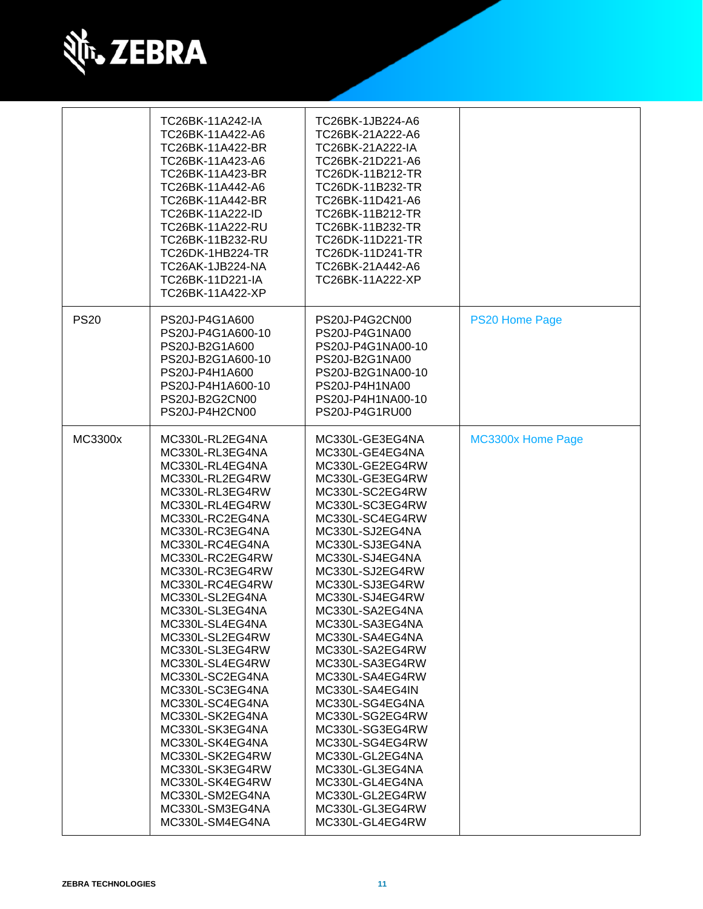

|             | TC26BK-11A242-IA<br>TC26BK-11A422-A6<br>TC26BK-11A422-BR<br>TC26BK-11A423-A6<br>TC26BK-11A423-BR<br>TC26BK-11A442-A6<br>TC26BK-11A442-BR<br>TC26BK-11A222-ID<br>TC26BK-11A222-RU<br>TC26BK-11B232-RU<br>TC26DK-1HB224-TR<br>TC26AK-1JB224-NA<br>TC26BK-11D221-IA<br>TC26BK-11A422-XP                                                                                                                                                                                                                                                                                                   | TC26BK-1JB224-A6<br>TC26BK-21A222-A6<br>TC26BK-21A222-IA<br>TC26BK-21D221-A6<br>TC26DK-11B212-TR<br>TC26DK-11B232-TR<br>TC26BK-11D421-A6<br>TC26BK-11B212-TR<br>TC26BK-11B232-TR<br>TC26DK-11D221-TR<br>TC26DK-11D241-TR<br>TC26BK-21A442-A6<br>TC26BK-11A222-XP                                                                                                                                                                                                                                                                                                                       |                       |
|-------------|----------------------------------------------------------------------------------------------------------------------------------------------------------------------------------------------------------------------------------------------------------------------------------------------------------------------------------------------------------------------------------------------------------------------------------------------------------------------------------------------------------------------------------------------------------------------------------------|----------------------------------------------------------------------------------------------------------------------------------------------------------------------------------------------------------------------------------------------------------------------------------------------------------------------------------------------------------------------------------------------------------------------------------------------------------------------------------------------------------------------------------------------------------------------------------------|-----------------------|
| <b>PS20</b> | PS20J-P4G1A600<br>PS20J-P4G1A600-10<br>PS20J-B2G1A600<br>PS20J-B2G1A600-10<br>PS20J-P4H1A600<br>PS20J-P4H1A600-10<br>PS20J-B2G2CN00<br>PS20J-P4H2CN00                                                                                                                                                                                                                                                                                                                                                                                                                                  | PS20J-P4G2CN00<br>PS20J-P4G1NA00<br>PS20J-P4G1NA00-10<br>PS20J-B2G1NA00<br>PS20J-B2G1NA00-10<br>PS20J-P4H1NA00<br>PS20J-P4H1NA00-10<br>PS20J-P4G1RU00                                                                                                                                                                                                                                                                                                                                                                                                                                  | <b>PS20 Home Page</b> |
| MC3300x     | MC330L-RL2EG4NA<br>MC330L-RL3EG4NA<br>MC330L-RL4EG4NA<br>MC330L-RL2EG4RW<br>MC330L-RL3EG4RW<br>MC330L-RL4EG4RW<br>MC330L-RC2EG4NA<br>MC330L-RC3EG4NA<br>MC330L-RC4EG4NA<br>MC330L-RC2EG4RW<br>MC330L-RC3EG4RW<br>MC330L-RC4EG4RW<br>MC330L-SL2EG4NA<br>MC330L-SL3EG4NA<br>MC330L-SL4EG4NA<br>MC330L-SL2EG4RW<br>MC330L-SL3EG4RW<br>MC330L-SL4EG4RW<br>MC330L-SC2EG4NA<br>MC330L-SC3EG4NA<br>MC330L-SC4EG4NA<br>MC330L-SK2EG4NA<br>MC330L-SK3EG4NA<br>MC330L-SK4EG4NA<br>MC330L-SK2EG4RW<br>MC330L-SK3EG4RW<br>MC330L-SK4EG4RW<br>MC330L-SM2EG4NA<br>MC330L-SM3EG4NA<br>MC330L-SM4EG4NA | MC330L-GE3EG4NA<br>MC330L-GE4EG4NA<br>MC330L-GE2EG4RW<br>MC330L-GE3EG4RW<br>MC330L-SC2EG4RW<br>MC330L-SC3EG4RW<br>MC330L-SC4EG4RW<br>MC330L-SJ2EG4NA<br>MC330L-SJ3EG4NA<br>MC330L-SJ4EG4NA<br>MC330L-SJ2EG4RW<br>MC330L-SJ3EG4RW<br>MC330L-SJ4EG4RW<br>MC330L-SA2EG4NA<br>MC330L-SA3EG4NA<br>MC330L-SA4EG4NA<br>MC330L-SA2EG4RW<br>MC330L-SA3EG4RW<br>MC330L-SA4EG4RW<br>MC330L-SA4EG4IN<br>MC330L-SG4EG4NA<br>MC330L-SG2EG4RW<br>MC330L-SG3EG4RW<br>MC330L-SG4EG4RW<br>MC330L-GL2EG4NA<br>MC330L-GL3EG4NA<br>MC330L-GL4EG4NA<br>MC330L-GL2EG4RW<br>MC330L-GL3EG4RW<br>MC330L-GL4EG4RW | MC3300x Home Page     |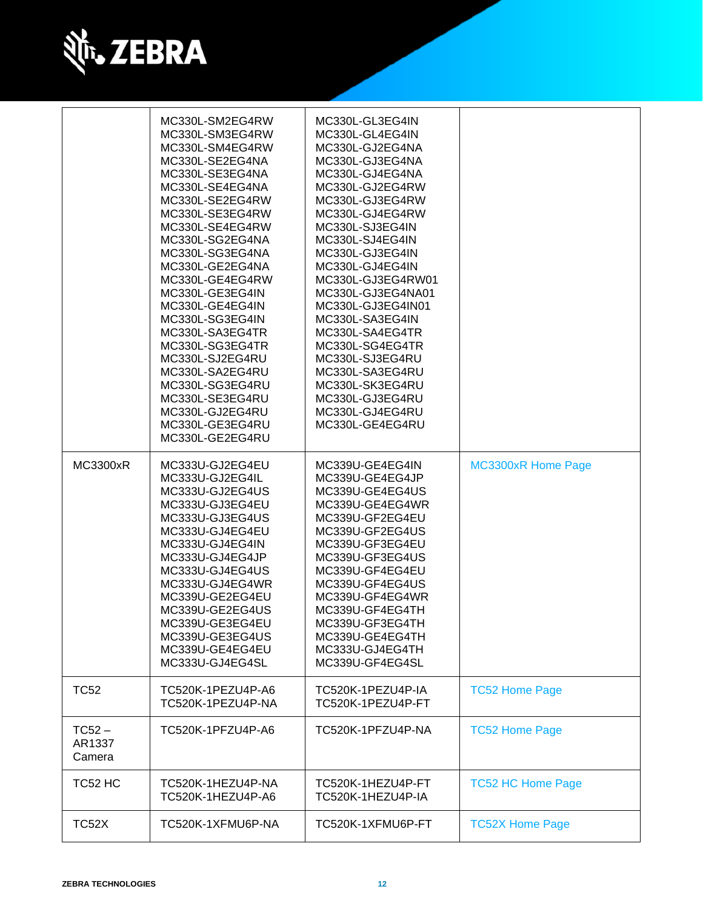

|                              | MC330L-SM2EG4RW<br>MC330L-SM3EG4RW<br>MC330L-SM4EG4RW<br>MC330L-SE2EG4NA<br>MC330L-SE3EG4NA<br>MC330L-SE4EG4NA<br>MC330L-SE2EG4RW<br>MC330L-SE3EG4RW<br>MC330L-SE4EG4RW<br>MC330L-SG2EG4NA<br>MC330L-SG3EG4NA<br>MC330L-GE2EG4NA<br>MC330L-GE4EG4RW<br>MC330L-GE3EG4IN<br>MC330L-GE4EG4IN<br>MC330L-SG3EG4IN<br>MC330L-SA3EG4TR<br>MC330L-SG3EG4TR<br>MC330L-SJ2EG4RU<br>MC330L-SA2EG4RU<br>MC330L-SG3EG4RU<br>MC330L-SE3EG4RU<br>MC330L-GJ2EG4RU<br>MC330L-GE3EG4RU<br>MC330L-GE2EG4RU | MC330L-GL3EG4IN<br>MC330L-GL4EG4IN<br>MC330L-GJ2EG4NA<br>MC330L-GJ3EG4NA<br>MC330L-GJ4EG4NA<br>MC330L-GJ2EG4RW<br>MC330L-GJ3EG4RW<br>MC330L-GJ4EG4RW<br>MC330L-SJ3EG4IN<br>MC330L-SJ4EG4IN<br>MC330L-GJ3EG4IN<br>MC330L-GJ4EG4IN<br>MC330L-GJ3EG4RW01<br>MC330L-GJ3EG4NA01<br>MC330L-GJ3EG4IN01<br>MC330L-SA3EG4IN<br>MC330L-SA4EG4TR<br>MC330L-SG4EG4TR<br>MC330L-SJ3EG4RU<br>MC330L-SA3EG4RU<br>MC330L-SK3EG4RU<br>MC330L-GJ3EG4RU<br>MC330L-GJ4EG4RU<br>MC330L-GE4EG4RU |                           |
|------------------------------|-----------------------------------------------------------------------------------------------------------------------------------------------------------------------------------------------------------------------------------------------------------------------------------------------------------------------------------------------------------------------------------------------------------------------------------------------------------------------------------------|----------------------------------------------------------------------------------------------------------------------------------------------------------------------------------------------------------------------------------------------------------------------------------------------------------------------------------------------------------------------------------------------------------------------------------------------------------------------------|---------------------------|
| <b>MC3300xR</b>              | MC333U-GJ2EG4EU<br>MC333U-GJ2EG4IL<br>MC333U-GJ2EG4US<br>MC333U-GJ3EG4EU<br>MC333U-GJ3EG4US<br>MC333U-GJ4EG4EU<br>MC333U-GJ4EG4IN<br>MC333U-GJ4EG4JP<br>MC333U-GJ4EG4US<br>MC333U-GJ4EG4WR<br>MC339U-GE2EG4EU<br>MC339U-GE2EG4US<br>MC339U-GE3EG4EU<br>MC339U-GE3EG4US<br>MC339U-GE4EG4EU<br>MC333U-GJ4EG4SL                                                                                                                                                                            | MC339U-GE4EG4IN<br>MC339U-GE4EG4JP<br>MC339U-GE4EG4US<br>MC339U-GE4EG4WR<br>MC339U-GF2EG4EU<br>MC339U-GF2EG4US<br>MC339U-GF3EG4EU<br>MC339U-GF3EG4US<br>MC339U-GF4EG4EU<br>MC339U-GF4EG4US<br>MC339U-GF4EG4WR<br>MC339U-GF4EG4TH<br>MC339U-GF3EG4TH<br>MC339U-GE4EG4TH<br>MC333U-GJ4EG4TH<br>MC339U-GF4EG4SL                                                                                                                                                               | <b>MC3300xR Home Page</b> |
| <b>TC52</b>                  | TC520K-1PEZU4P-A6<br>TC520K-1PEZU4P-NA                                                                                                                                                                                                                                                                                                                                                                                                                                                  | TC520K-1PEZU4P-IA<br>TC520K-1PEZU4P-FT                                                                                                                                                                                                                                                                                                                                                                                                                                     | <b>TC52 Home Page</b>     |
| $TC52 -$<br>AR1337<br>Camera | TC520K-1PFZU4P-A6                                                                                                                                                                                                                                                                                                                                                                                                                                                                       | TC520K-1PFZU4P-NA                                                                                                                                                                                                                                                                                                                                                                                                                                                          | <b>TC52 Home Page</b>     |
| TC52 HC                      | TC520K-1HEZU4P-NA<br>TC520K-1HEZU4P-A6                                                                                                                                                                                                                                                                                                                                                                                                                                                  | TC520K-1HEZU4P-FT<br>TC520K-1HEZU4P-IA                                                                                                                                                                                                                                                                                                                                                                                                                                     | <b>TC52 HC Home Page</b>  |
| TC52X                        | TC520K-1XFMU6P-NA                                                                                                                                                                                                                                                                                                                                                                                                                                                                       | TC520K-1XFMU6P-FT                                                                                                                                                                                                                                                                                                                                                                                                                                                          | <b>TC52X Home Page</b>    |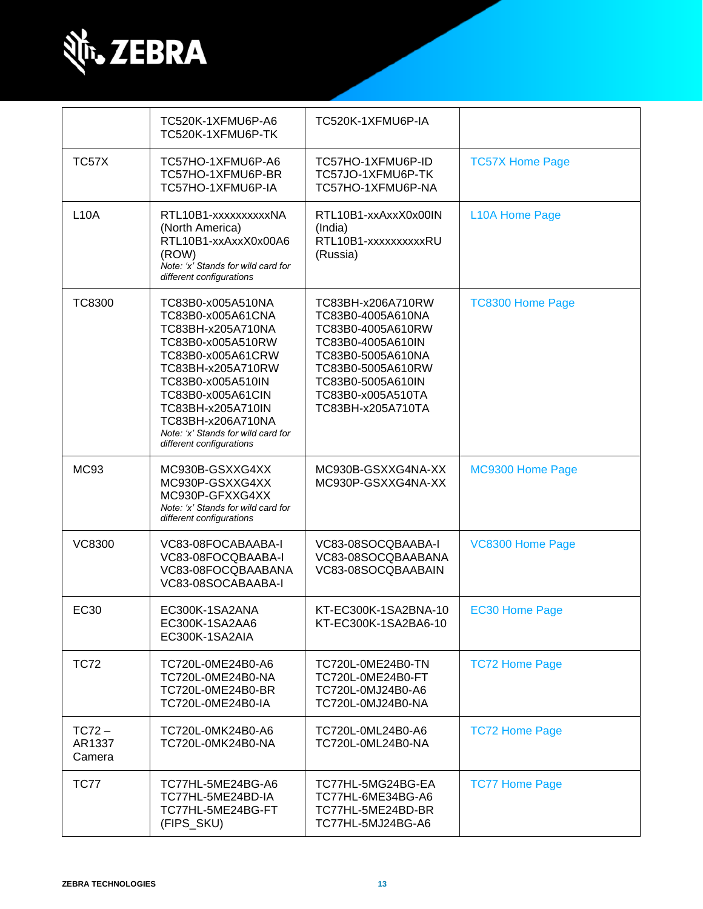

|                              | TC520K-1XFMU6P-A6<br>TC520K-1XFMU6P-TK                                                                                                                                                                                                                                           | TC520K-1XFMU6P-IA                                                                                                                                                                         |                         |
|------------------------------|----------------------------------------------------------------------------------------------------------------------------------------------------------------------------------------------------------------------------------------------------------------------------------|-------------------------------------------------------------------------------------------------------------------------------------------------------------------------------------------|-------------------------|
| TC57X                        | TC57HO-1XFMU6P-A6<br>TC57HO-1XFMU6P-BR<br>TC57HO-1XFMU6P-IA                                                                                                                                                                                                                      | TC57HO-1XFMU6P-ID<br>TC57JO-1XFMU6P-TK<br>TC57HO-1XFMU6P-NA                                                                                                                               | <b>TC57X Home Page</b>  |
| <b>L10A</b>                  | RTL10B1-xxxxxxxxxXNA<br>(North America)<br>RTL10B1-xxAxxX0x00A6<br>(ROW)<br>Note: 'x' Stands for wild card for<br>different configurations                                                                                                                                       | RTL10B1-xxAxxX0x00IN<br>(India)<br>RTL10B1-xxxxxxxxxRU<br>(Russia)                                                                                                                        | L10A Home Page          |
| <b>TC8300</b>                | TC83B0-x005A510NA<br>TC83B0-x005A61CNA<br>TC83BH-x205A710NA<br>TC83B0-x005A510RW<br>TC83B0-x005A61CRW<br>TC83BH-x205A710RW<br>TC83B0-x005A510IN<br>TC83B0-x005A61CIN<br>TC83BH-x205A710IN<br>TC83BH-x206A710NA<br>Note: 'x' Stands for wild card for<br>different configurations | TC83BH-x206A710RW<br>TC83B0-4005A610NA<br>TC83B0-4005A610RW<br>TC83B0-4005A610IN<br>TC83B0-5005A610NA<br>TC83B0-5005A610RW<br>TC83B0-5005A610IN<br>TC83B0-x005A510TA<br>TC83BH-x205A710TA | <b>TC8300 Home Page</b> |
| MC <sub>93</sub>             | MC930B-GSXXG4XX<br>MC930P-GSXXG4XX<br>MC930P-GFXXG4XX<br>Note: 'x' Stands for wild card for<br>different configurations                                                                                                                                                          | MC930B-GSXXG4NA-XX<br>MC930P-GSXXG4NA-XX                                                                                                                                                  | MC9300 Home Page        |
| <b>VC8300</b>                | VC83-08FOCABAABA-I<br>VC83-08FOCQBAABA-I<br>VC83-08FOCQBAABANA<br>VC83-08SOCABAABA-I                                                                                                                                                                                             | VC83-08SOCQBAABA-I<br>VC83-08SOCQBAABANA<br>VC83-08SOCQBAABAIN                                                                                                                            | VC8300 Home Page        |
| <b>EC30</b>                  | EC300K-1SA2ANA<br>EC300K-1SA2AA6<br>EC300K-1SA2AIA                                                                                                                                                                                                                               | KT-EC300K-1SA2BNA-10<br>KT-EC300K-1SA2BA6-10                                                                                                                                              | <b>EC30 Home Page</b>   |
| <b>TC72</b>                  | TC720L-0ME24B0-A6<br>TC720L-0ME24B0-NA<br>TC720L-0ME24B0-BR<br>TC720L-0ME24B0-IA                                                                                                                                                                                                 | TC720L-0ME24B0-TN<br>TC720L-0ME24B0-FT<br>TC720L-0MJ24B0-A6<br>TC720L-0MJ24B0-NA                                                                                                          | <b>TC72 Home Page</b>   |
| $TC72 -$<br>AR1337<br>Camera | TC720L-0MK24B0-A6<br>TC720L-0MK24B0-NA                                                                                                                                                                                                                                           | TC720L-0ML24B0-A6<br>TC720L-0ML24B0-NA                                                                                                                                                    | <b>TC72 Home Page</b>   |
| <b>TC77</b>                  | TC77HL-5ME24BG-A6<br>TC77HL-5ME24BD-IA<br>TC77HL-5ME24BG-FT<br>(FIPS_SKU)                                                                                                                                                                                                        | TC77HL-5MG24BG-EA<br>TC77HL-6ME34BG-A6<br>TC77HL-5ME24BD-BR<br>TC77HL-5MJ24BG-A6                                                                                                          | <b>TC77 Home Page</b>   |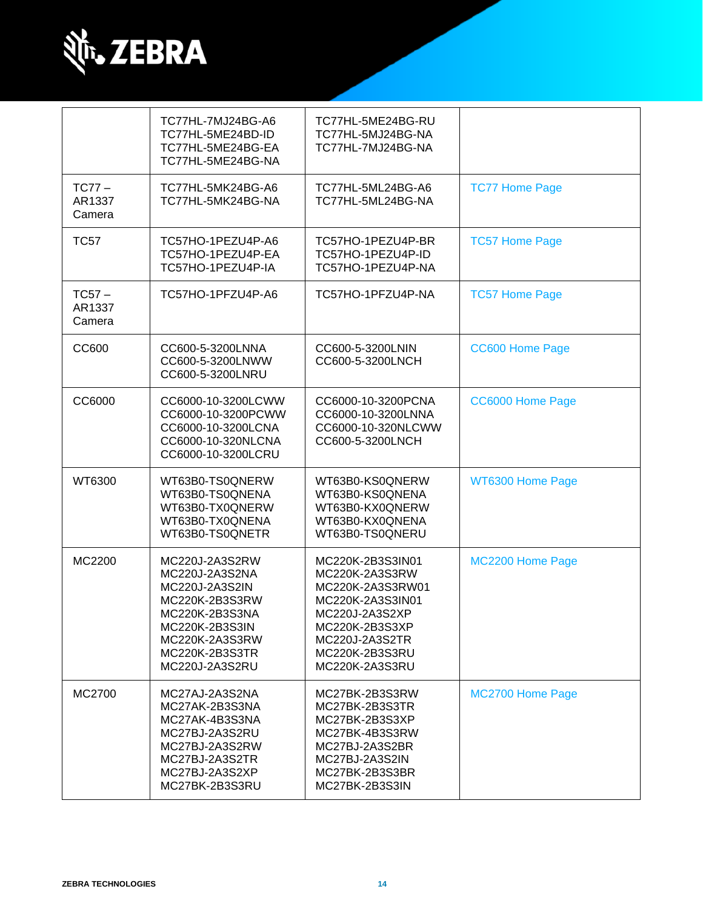

|                              | TC77HL-7MJ24BG-A6<br>TC77HL-5ME24BD-ID<br>TC77HL-5ME24BG-EA<br>TC77HL-5ME24BG-NA                                                                               | TC77HL-5ME24BG-RU<br>TC77HL-5MJ24BG-NA<br>TC77HL-7MJ24BG-NA                                                                                                          |                       |
|------------------------------|----------------------------------------------------------------------------------------------------------------------------------------------------------------|----------------------------------------------------------------------------------------------------------------------------------------------------------------------|-----------------------|
| $TC77-$<br>AR1337<br>Camera  | TC77HL-5MK24BG-A6<br>TC77HL-5MK24BG-NA                                                                                                                         | TC77HL-5ML24BG-A6<br>TC77HL-5ML24BG-NA                                                                                                                               | <b>TC77 Home Page</b> |
| <b>TC57</b>                  | TC57HO-1PEZU4P-A6<br>TC57HO-1PEZU4P-EA<br>TC57HO-1PEZU4P-IA                                                                                                    | TC57HO-1PEZU4P-BR<br>TC57HO-1PEZU4P-ID<br>TC57HO-1PEZU4P-NA                                                                                                          | <b>TC57 Home Page</b> |
| $TC57 -$<br>AR1337<br>Camera | TC57HO-1PFZU4P-A6                                                                                                                                              | TC57HO-1PFZU4P-NA                                                                                                                                                    | <b>TC57 Home Page</b> |
| CC600                        | CC600-5-3200LNNA<br>CC600-5-3200LNWW<br>CC600-5-3200LNRU                                                                                                       | CC600-5-3200LNIN<br>CC600-5-3200LNCH                                                                                                                                 | CC600 Home Page       |
| CC6000                       | CC6000-10-3200LCWW<br>CC6000-10-3200PCWW<br>CC6000-10-3200LCNA<br>CC6000-10-320NLCNA<br>CC6000-10-3200LCRU                                                     | CC6000-10-3200PCNA<br>CC6000-10-3200LNNA<br>CC6000-10-320NLCWW<br>CC600-5-3200LNCH                                                                                   | CC6000 Home Page      |
| WT6300                       | WT63B0-TS0QNERW<br>WT63B0-TS0QNENA<br>WT63B0-TX0QNERW<br>WT63B0-TX0QNENA<br>WT63B0-TS0QNETR                                                                    | WT63B0-KS0QNERW<br>WT63B0-KS0QNENA<br>WT63B0-KX0QNERW<br>WT63B0-KX0QNENA<br>WT63B0-TS0QNERU                                                                          | WT6300 Home Page      |
| MC2200                       | MC220J-2A3S2RW<br>MC220J-2A3S2NA<br>MC220J-2A3S2IN<br>MC220K-2B3S3RW<br>MC220K-2B3S3NA<br>MC220K-2B3S3IN<br>MC220K-2A3S3RW<br>MC220K-2B3S3TR<br>MC220J-2A3S2RU | MC220K-2B3S3IN01<br>MC220K-2A3S3RW<br>MC220K-2A3S3RW01<br>MC220K-2A3S3IN01<br>MC220J-2A3S2XP<br>MC220K-2B3S3XP<br>MC220J-2A3S2TR<br>MC220K-2B3S3RU<br>MC220K-2A3S3RU | MC2200 Home Page      |
| MC2700                       | MC27AJ-2A3S2NA<br>MC27AK-2B3S3NA<br>MC27AK-4B3S3NA<br>MC27BJ-2A3S2RU<br>MC27BJ-2A3S2RW<br>MC27BJ-2A3S2TR<br>MC27BJ-2A3S2XP<br>MC27BK-2B3S3RU                   | MC27BK-2B3S3RW<br>MC27BK-2B3S3TR<br>MC27BK-2B3S3XP<br>MC27BK-4B3S3RW<br>MC27BJ-2A3S2BR<br>MC27BJ-2A3S2IN<br>MC27BK-2B3S3BR<br>MC27BK-2B3S3IN                         | MC2700 Home Page      |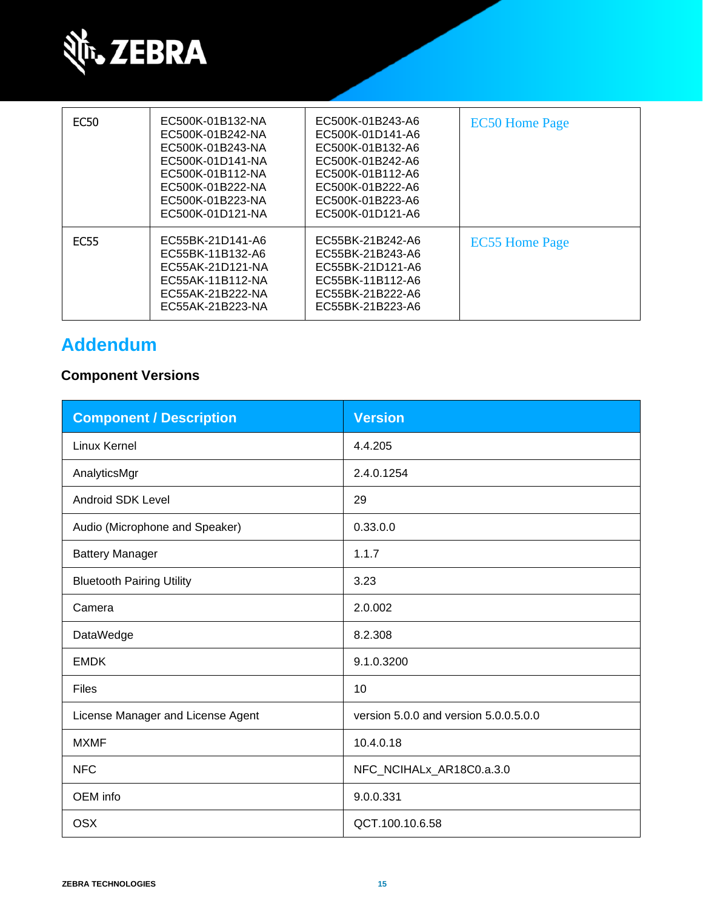

| <b>EC50</b>      | EC500K-01B132-NA<br>EC500K-01B242-NA<br>EC500K-01B243-NA<br>EC500K-01D141-NA<br>EC500K-01B112-NA<br>EC500K-01B222-NA<br>EC500K-01B223-NA<br>EC500K-01D121-NA | EC500K-01B243-A6<br>EC500K-01D141-A6<br>EC500K-01B132-A6<br>EC500K-01B242-A6<br>EC500K-01B112-A6<br>EC500K-01B222-A6<br>EC500K-01B223-A6<br>EC500K-01D121-A6 | <b>EC50 Home Page</b> |
|------------------|--------------------------------------------------------------------------------------------------------------------------------------------------------------|--------------------------------------------------------------------------------------------------------------------------------------------------------------|-----------------------|
| EC <sub>55</sub> | EC55BK-21D141-A6<br>EC55BK-11B132-A6<br>EC55AK-21D121-NA<br>EC55AK-11B112-NA<br>EC55AK-21B222-NA<br>EC55AK-21B223-NA                                         | EC55BK-21B242-A6<br>EC55BK-21B243-A6<br>EC55BK-21D121-A6<br>EC55BK-11B112-A6<br>EC55BK-21B222-A6<br>EC55BK-21B223-A6                                         | <b>EC55 Home Page</b> |

# **Addendum**

# **Component Versions**

| <b>Component / Description</b>    | <b>Version</b>                        |
|-----------------------------------|---------------------------------------|
| <b>Linux Kernel</b>               | 4.4.205                               |
| AnalyticsMgr                      | 2.4.0.1254                            |
| <b>Android SDK Level</b>          | 29                                    |
| Audio (Microphone and Speaker)    | 0.33.0.0                              |
| <b>Battery Manager</b>            | 1.1.7                                 |
| <b>Bluetooth Pairing Utility</b>  | 3.23                                  |
| Camera                            | 2.0.002                               |
| DataWedge                         | 8.2.308                               |
| <b>EMDK</b>                       | 9.1.0.3200                            |
| <b>Files</b>                      | 10                                    |
| License Manager and License Agent | version 5.0.0 and version 5.0.0.5.0.0 |
| <b>MXMF</b>                       | 10.4.0.18                             |
| <b>NFC</b>                        | NFC_NCIHALx_AR18C0.a.3.0              |
| OEM info                          | 9.0.0.331                             |
| <b>OSX</b>                        | QCT.100.10.6.58                       |